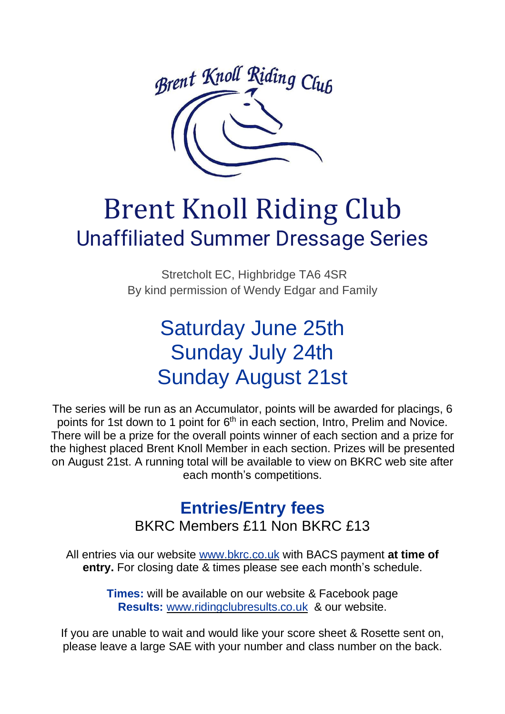

# Brent Knoll Riding Club Unaffiliated Summer Dressage Series

Stretcholt EC, Highbridge TA6 4SR By kind permission of Wendy Edgar and Family

### Saturday June 25th Sunday July 24th Sunday August 21st

The series will be run as an Accumulator, points will be awarded for placings, 6 points for 1st down to 1 point for 6<sup>th</sup> in each section, Intro, Prelim and Novice. There will be a prize for the overall points winner of each section and a prize for the highest placed Brent Knoll Member in each section. Prizes will be presented on August 21st. A running total will be available to view on BKRC web site after each month's competitions.

## **Entries/Entry fees**

BKRC Members £11 Non BKRC £13

All entries via our website [www.bkrc.co.uk](http://www.bkrc.co.uk/) with BACS payment **at time of entry.** For closing date & times please see each month's schedule.

> **Times:** will be available on our website & Facebook page **Results:** [www.ridingclubresults.co.uk](http://www.ridingclubresults.co.uk/) & our website.

If you are unable to wait and would like your score sheet & Rosette sent on, please leave a large SAE with your number and class number on the back.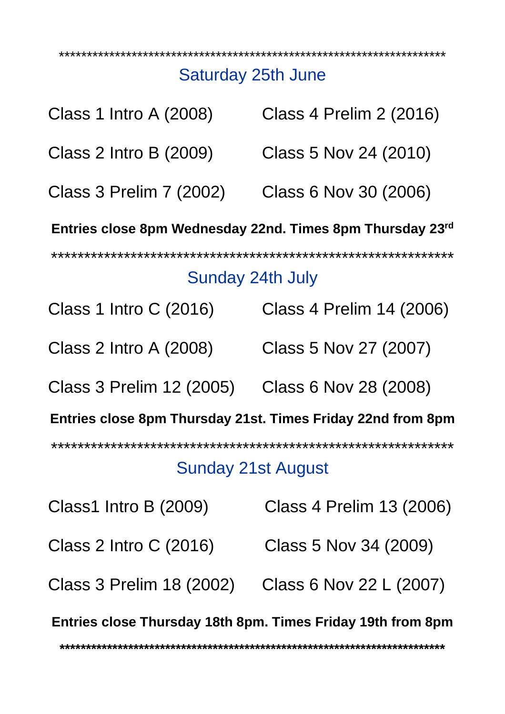#### \*\*\*\*\*\*\*\*\*\*\*\*\*\*\*\*\*\*\*\*\*\*\*\*\*\*\*\*\*\*\*\*\*\*\*\*\*\*\*\*\*\*\*\*\*\*\*\*\*\*\*\*\*\*\*\*\*\*\*\*\*\*\*\*\*\*\*\*\* Saturday 25th June

| <b>Class 1 Intro A (2008)</b>                               | Class 4 Prelim 2 (2016)  |
|-------------------------------------------------------------|--------------------------|
| Class 2 Intro B (2009)                                      | Class 5 Nov 24 (2010)    |
| Class 3 Prelim 7 (2002)                                     | Class 6 Nov 30 (2006)    |
| Entries close 8pm Wednesday 22nd. Times 8pm Thursday 23rd   |                          |
| Sunday 24th July                                            |                          |
| Class 1 Intro C (2016)                                      | Class 4 Prelim 14 (2006) |
| Class 2 Intro A (2008)                                      | Class 5 Nov 27 (2007)    |
| Class 3 Prelim 12 (2005)                                    | Class 6 Nov 28 (2008)    |
| Entries close 8pm Thursday 21st. Times Friday 22nd from 8pm |                          |
| Sunday 21st August                                          |                          |
| Class1 Intro B (2009)                                       | Class 4 Prelim 13 (2006) |
| Class 2 Intro C (2016)                                      | Class 5 Nov 34 (2009)    |
| Class 3 Prelim 18 (2002)                                    | Class 6 Nov 22 L (2007)  |
| Entries close Thursday 18th 8pm. Times Friday 19th from 8pm |                          |

**\*\*\*\*\*\*\*\*\*\*\*\*\*\*\*\*\*\*\*\*\*\*\*\*\*\*\*\*\*\*\*\*\*\*\*\*\*\*\*\*\*\*\*\*\*\*\*\*\*\*\*\*\*\*\*\*\*\*\*\*\*\*\*\*\*\*\*\*\*\*\*\*\***